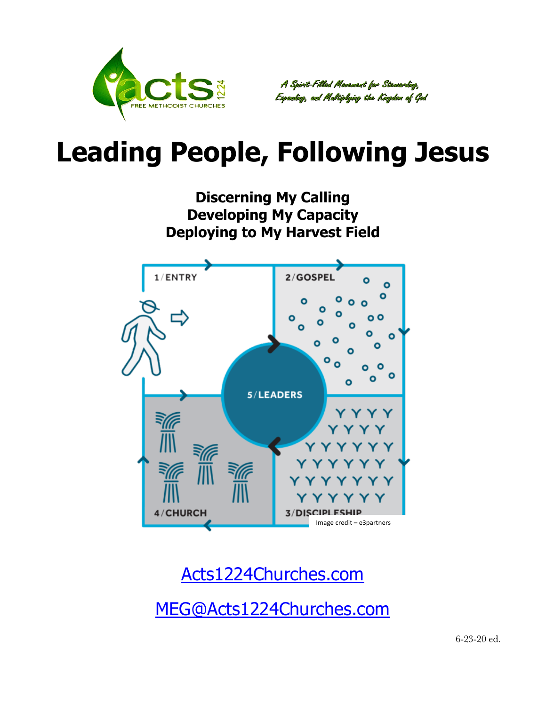

A Spirit-Filled Movement for Stewarding, Expanding, and Multiplying the Kingdom of God

# **Leading People, Following Jesus**



Acts1224Churches.com

MEG@Acts1224Churches.com

6-23-20 ed.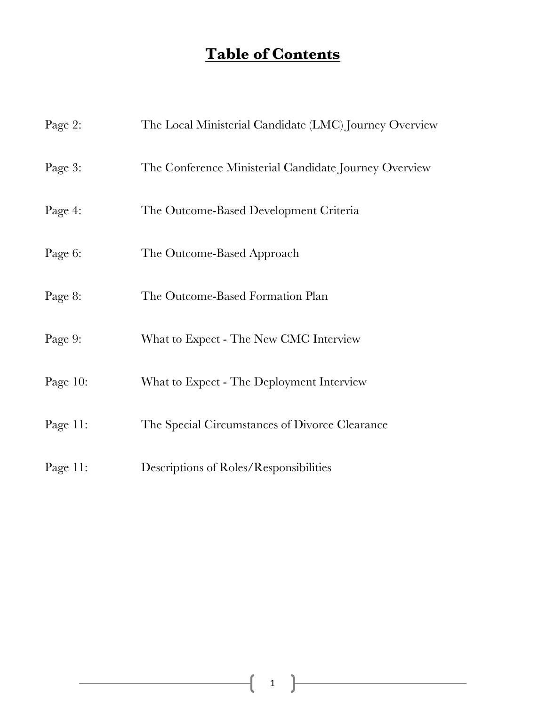# **Table of Contents**

| Page 2:     | The Local Ministerial Candidate (LMC) Journey Overview |
|-------------|--------------------------------------------------------|
| Page 3:     | The Conference Ministerial Candidate Journey Overview  |
| Page 4:     | The Outcome-Based Development Criteria                 |
| Page 6:     | The Outcome-Based Approach                             |
| Page 8:     | The Outcome-Based Formation Plan                       |
| Page 9:     | What to Expect - The New CMC Interview                 |
| Page $10$ : | What to Expect - The Deployment Interview              |
| Page 11:    | The Special Circumstances of Divorce Clearance         |
| Page $11$ : | Descriptions of Roles/Responsibilities                 |

 $\begin{pmatrix} 1 \end{pmatrix}$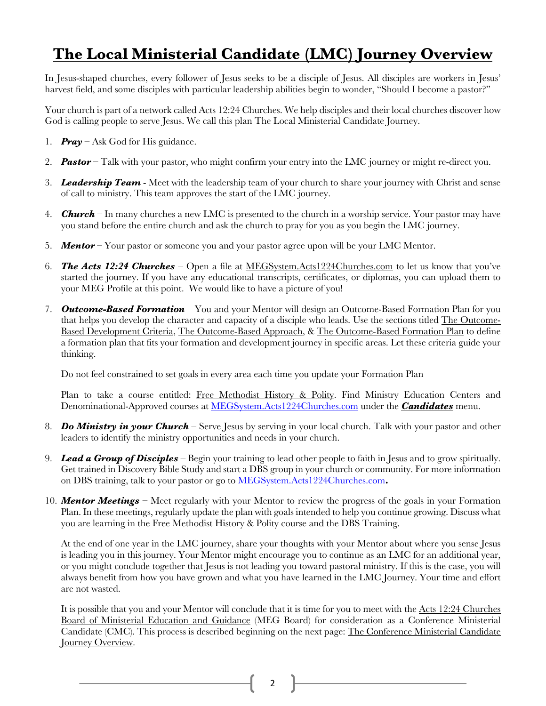## **The Local Ministerial Candidate (LMC) Journey Overview**

In Jesus-shaped churches, every follower of Jesus seeks to be a disciple of Jesus. All disciples are workers in Jesus' harvest field, and some disciples with particular leadership abilities begin to wonder, "Should I become a pastor?"

Your church is part of a network called Acts 12:24 Churches. We help disciples and their local churches discover how God is calling people to serve Jesus. We call this plan The Local Ministerial Candidate Journey.

- 1. *Pray* Ask God for His guidance.
- 2. *Pastor* Talk with your pastor, who might confirm your entry into the LMC journey or might re-direct you.
- 3. *Leadership Team* Meet with the leadership team of your church to share your journey with Christ and sense of call to ministry. This team approves the start of the LMC journey.
- 4. *Church* In many churches a new LMC is presented to the church in a worship service. Your pastor may have you stand before the entire church and ask the church to pray for you as you begin the LMC journey.
- 5. *Mentor* Your pastor or someone you and your pastor agree upon will be your LMC Mentor.
- 6. *The Acts 12:24 Churches* Open a file at MEGSystem.Acts1224Churches.com to let us know that you've started the journey. If you have any educational transcripts, certificates, or diplomas, you can upload them to your MEG Profile at this point. We would like to have a picture of you!
- 7. *Outcome-Based Formation*  You and your Mentor will design an Outcome-Based Formation Plan for you that helps you develop the character and capacity of a disciple who leads. Use the sections titled The Outcome-Based Development Criteria, The Outcome-Based Approach, & The Outcome-Based Formation Plan to define a formation plan that fits your formation and development journey in specific areas. Let these criteria guide your thinking.

Do not feel constrained to set goals in every area each time you update your Formation Plan

Plan to take a course entitled: Free Methodist History & Polity. Find Ministry Education Centers and Denominational-Approved courses at MEGSystem.Acts1224Churches.com under the *Candidates* menu.

- 8. *Do Ministry in your Church* Serve Jesus by serving in your local church. Talk with your pastor and other leaders to identify the ministry opportunities and needs in your church.
- 9. *Lead a Group of Disciples* Begin your training to lead other people to faith in Jesus and to grow spiritually. Get trained in Discovery Bible Study and start a DBS group in your church or community. For more information on DBS training, talk to your pastor or go to MEGSystem.Acts1224Churches.com**.**
- 10. *Mentor Meetings* Meet regularly with your Mentor to review the progress of the goals in your Formation Plan. In these meetings, regularly update the plan with goals intended to help you continue growing. Discuss what you are learning in the Free Methodist History & Polity course and the DBS Training.

At the end of one year in the LMC journey, share your thoughts with your Mentor about where you sense Jesus is leading you in this journey. Your Mentor might encourage you to continue as an LMC for an additional year, or you might conclude together that Jesus is not leading you toward pastoral ministry. If this is the case, you will always benefit from how you have grown and what you have learned in the LMC Journey. Your time and effort are not wasted.

It is possible that you and your Mentor will conclude that it is time for you to meet with the Acts 12:24 Churches Board of Ministerial Education and Guidance (MEG Board) for consideration as a Conference Ministerial Candidate (CMC). This process is described beginning on the next page: The Conference Ministerial Candidate **Journey Overview.**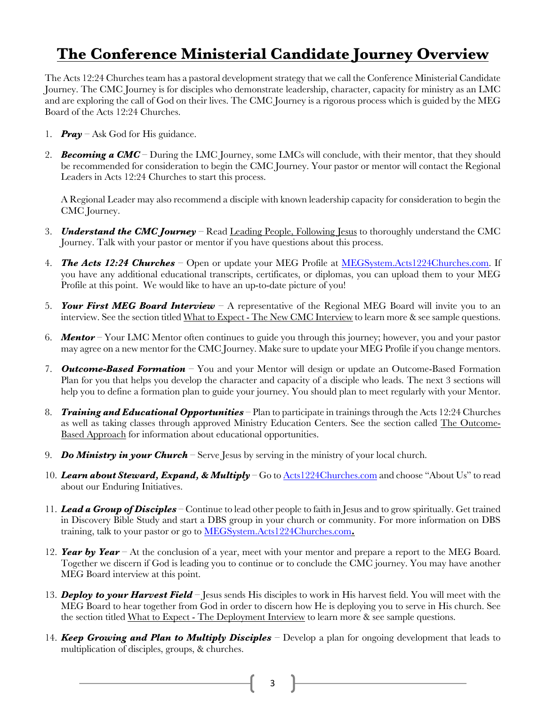# **The Conference Ministerial Candidate Journey Overview**

The Acts 12:24 Churches team has a pastoral development strategy that we call the Conference Ministerial Candidate Journey. The CMC Journey is for disciples who demonstrate leadership, character, capacity for ministry as an LMC and are exploring the call of God on their lives. The CMC Journey is a rigorous process which is guided by the MEG Board of the Acts 12:24 Churches.

- 1. *Pray* Ask God for His guidance.
- 2. **Becoming a CMC** During the LMC Journey, some LMCs will conclude, with their mentor, that they should be recommended for consideration to begin the CMC Journey. Your pastor or mentor will contact the Regional Leaders in Acts 12:24 Churches to start this process.

A Regional Leader may also recommend a disciple with known leadership capacity for consideration to begin the CMC Journey.

- 3. *Understand the CMC Journey* Read Leading People, Following Jesus to thoroughly understand the CMC Journey. Talk with your pastor or mentor if you have questions about this process.
- 4. *The Acts 12:24 Churches* Open or update your MEG Profile at MEGSystem.Acts1224Churches.com. If you have any additional educational transcripts, certificates, or diplomas, you can upload them to your MEG Profile at this point. We would like to have an up-to-date picture of you!
- 5. *Your First MEG Board Interview* A representative of the Regional MEG Board will invite you to an interview. See the section titled What to Expect - The New CMC Interview to learn more & see sample questions.
- 6. *Mentor* Your LMC Mentor often continues to guide you through this journey; however, you and your pastor may agree on a new mentor for the CMC Journey. Make sure to update your MEG Profile if you change mentors.
- 7. *Outcome-Based Formation*  You and your Mentor will design or update an Outcome-Based Formation Plan for you that helps you develop the character and capacity of a disciple who leads. The next 3 sections will help you to define a formation plan to guide your journey. You should plan to meet regularly with your Mentor.
- 8. *Training and Educational Opportunities*  Plan to participate in trainings through the Acts 12:24 Churches as well as taking classes through approved Ministry Education Centers. See the section called The Outcome-Based Approach for information about educational opportunities.
- 9. *Do Ministry in your Church* Serve Jesus by serving in the ministry of your local church.
- 10. *Learn about Steward, Expand, & Multiply* Go to Acts1224Churches.com and choose "About Us" to read about our Enduring Initiatives.
- 11. *Lead a Group of Disciples* Continue to lead other people to faith in Jesus and to grow spiritually. Get trained in Discovery Bible Study and start a DBS group in your church or community. For more information on DBS training, talk to your pastor or go to MEGSystem.Acts1224Churches.com**.**
- 12. *Year by Year* At the conclusion of a year, meet with your mentor and prepare a report to the MEG Board. Together we discern if God is leading you to continue or to conclude the CMC journey. You may have another MEG Board interview at this point.
- 13. *Deploy to your Harvest Field* Jesus sends His disciples to work in His harvest field. You will meet with the MEG Board to hear together from God in order to discern how He is deploying you to serve in His church. See the section titled What to Expect - The Deployment Interview to learn more & see sample questions.
- 14. *Keep Growing and Plan to Multiply Disciples* Develop a plan for ongoing development that leads to multiplication of disciples, groups, & churches.
	- 3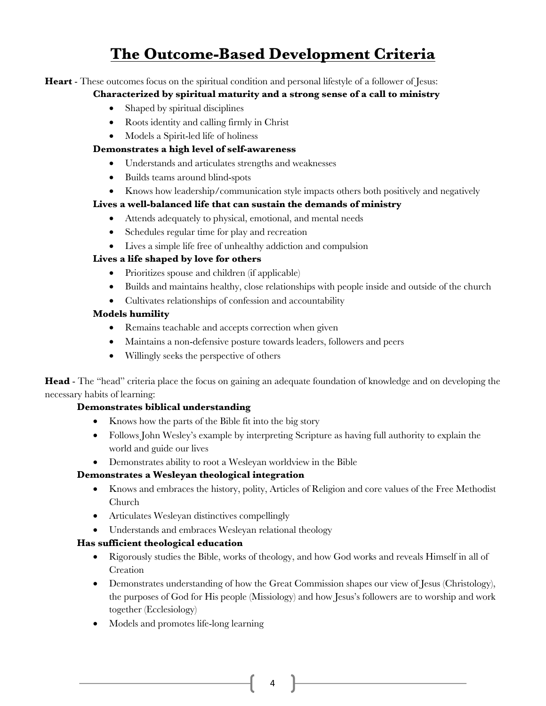# **The Outcome-Based Development Criteria**

#### **Heart** - These outcomes focus on the spiritual condition and personal lifestyle of a follower of Jesus:

#### **Characterized by spiritual maturity and a strong sense of a call to ministry**

- Shaped by spiritual disciplines
- Roots identity and calling firmly in Christ
- Models a Spirit-led life of holiness

#### **Demonstrates a high level of self-awareness**

- Understands and articulates strengths and weaknesses
- Builds teams around blind-spots
- Knows how leadership/communication style impacts others both positively and negatively

#### **Lives a well-balanced life that can sustain the demands of ministry**

- Attends adequately to physical, emotional, and mental needs
- Schedules regular time for play and recreation
- Lives a simple life free of unhealthy addiction and compulsion

#### **Lives a life shaped by love for others**

- Prioritizes spouse and children (if applicable)
- Builds and maintains healthy, close relationships with people inside and outside of the church
- Cultivates relationships of confession and accountability

#### **Models humility**

- Remains teachable and accepts correction when given
- Maintains a non-defensive posture towards leaders, followers and peers
- Willingly seeks the perspective of others

**Head** - The "head" criteria place the focus on gaining an adequate foundation of knowledge and on developing the necessary habits of learning:

#### **Demonstrates biblical understanding**

- Knows how the parts of the Bible fit into the big story
- Follows John Wesley's example by interpreting Scripture as having full authority to explain the world and guide our lives
- Demonstrates ability to root a Wesleyan worldview in the Bible

#### **Demonstrates a Wesleyan theological integration**

- Knows and embraces the history, polity, Articles of Religion and core values of the Free Methodist Church
- Articulates Wesleyan distinctives compellingly
- Understands and embraces Wesleyan relational theology

#### **Has sufficient theological education**

- Rigorously studies the Bible, works of theology, and how God works and reveals Himself in all of Creation
- Demonstrates understanding of how the Great Commission shapes our view of Jesus (Christology), the purposes of God for His people (Missiology) and how Jesus's followers are to worship and work together (Ecclesiology)
- Models and promotes life-long learning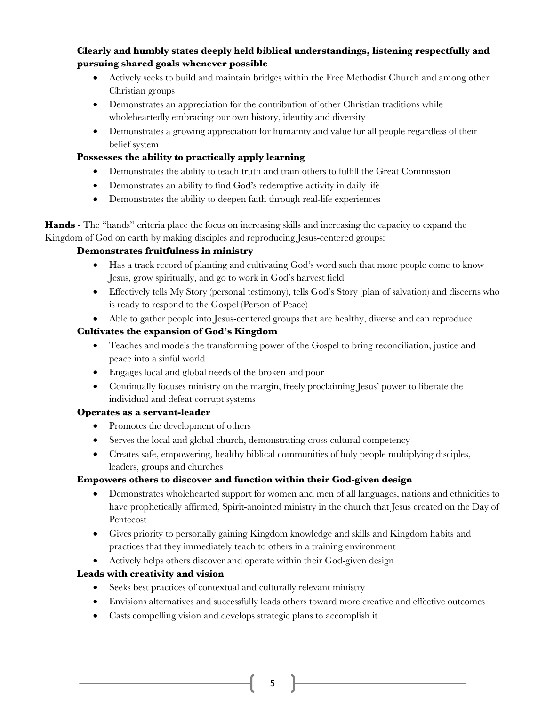### **Clearly and humbly states deeply held biblical understandings, listening respectfully and pursuing shared goals whenever possible**

- Actively seeks to build and maintain bridges within the Free Methodist Church and among other Christian groups
- Demonstrates an appreciation for the contribution of other Christian traditions while wholeheartedly embracing our own history, identity and diversity
- Demonstrates a growing appreciation for humanity and value for all people regardless of their belief system

### **Possesses the ability to practically apply learning**

- Demonstrates the ability to teach truth and train others to fulfill the Great Commission
- Demonstrates an ability to find God's redemptive activity in daily life
- Demonstrates the ability to deepen faith through real-life experiences

**Hands** - The "hands" criteria place the focus on increasing skills and increasing the capacity to expand the Kingdom of God on earth by making disciples and reproducing Jesus-centered groups:

### **Demonstrates fruitfulness in ministry**

- Has a track record of planting and cultivating God's word such that more people come to know Jesus, grow spiritually, and go to work in God's harvest field
- Effectively tells My Story (personal testimony), tells God's Story (plan of salvation) and discerns who is ready to respond to the Gospel (Person of Peace)
- Able to gather people into Jesus-centered groups that are healthy, diverse and can reproduce

### **Cultivates the expansion of God's Kingdom**

- Teaches and models the transforming power of the Gospel to bring reconciliation, justice and peace into a sinful world
- Engages local and global needs of the broken and poor
- Continually focuses ministry on the margin, freely proclaiming Jesus' power to liberate the individual and defeat corrupt systems

#### **Operates as a servant-leader**

- Promotes the development of others
- Serves the local and global church, demonstrating cross-cultural competency
- Creates safe, empowering, healthy biblical communities of holy people multiplying disciples, leaders, groups and churches

#### **Empowers others to discover and function within their God-given design**

- Demonstrates wholehearted support for women and men of all languages, nations and ethnicities to have prophetically affirmed, Spirit-anointed ministry in the church that Jesus created on the Day of Pentecost
- Gives priority to personally gaining Kingdom knowledge and skills and Kingdom habits and practices that they immediately teach to others in a training environment
- Actively helps others discover and operate within their God-given design

#### **Leads with creativity and vision**

- Seeks best practices of contextual and culturally relevant ministry
- Envisions alternatives and successfully leads others toward more creative and effective outcomes
- Casts compelling vision and develops strategic plans to accomplish it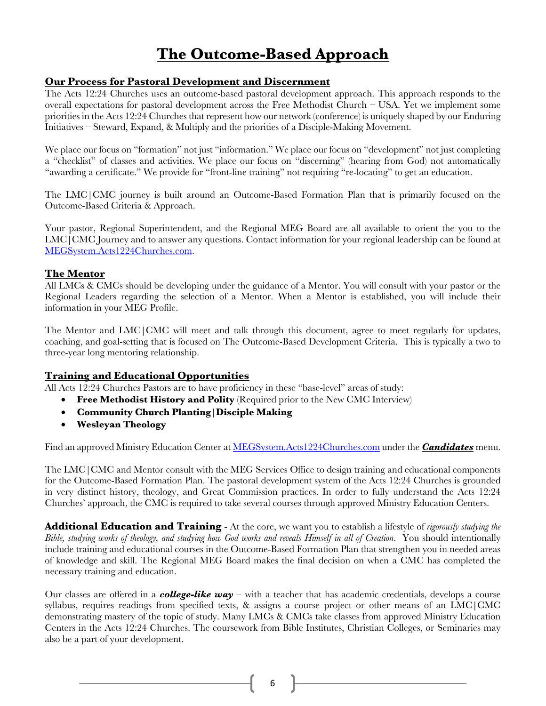# **The Outcome-Based Approach**

#### **Our Process for Pastoral Development and Discernment**

The Acts 12:24 Churches uses an outcome-based pastoral development approach. This approach responds to the overall expectations for pastoral development across the Free Methodist Church – USA. Yet we implement some priorities in the Acts 12:24 Churches that represent how our network (conference) is uniquely shaped by our Enduring Initiatives – Steward, Expand, & Multiply and the priorities of a Disciple-Making Movement.

We place our focus on "formation" not just "information." We place our focus on "development" not just completing a "checklist" of classes and activities. We place our focus on "discerning" (hearing from God) not automatically "awarding a certificate." We provide for "front-line training" not requiring "re-locating" to get an education.

The LMC|CMC journey is built around an Outcome-Based Formation Plan that is primarily focused on the Outcome-Based Criteria & Approach.

Your pastor, Regional Superintendent, and the Regional MEG Board are all available to orient the you to the LMC|CMC Journey and to answer any questions. Contact information for your regional leadership can be found at MEGSystem.Acts1224Churches.com.

#### **The Mentor**

All LMCs & CMCs should be developing under the guidance of a Mentor. You will consult with your pastor or the Regional Leaders regarding the selection of a Mentor. When a Mentor is established, you will include their information in your MEG Profile.

The Mentor and LMC|CMC will meet and talk through this document, agree to meet regularly for updates, coaching, and goal-setting that is focused on The Outcome-Based Development Criteria. This is typically a two to three-year long mentoring relationship.

#### **Training and Educational Opportunities**

All Acts 12:24 Churches Pastors are to have proficiency in these "base-level" areas of study:

- **Free Methodist History and Polity** (Required prior to the New CMC Interview)
- **Community Church Planting**|**Disciple Making**
- **Wesleyan Theology**

Find an approved Ministry Education Center at MEGSystem.Acts1224Churches.com under the *Candidates* menu.

The LMC|CMC and Mentor consult with the MEG Services Office to design training and educational components for the Outcome-Based Formation Plan. The pastoral development system of the Acts 12:24 Churches is grounded in very distinct history, theology, and Great Commission practices. In order to fully understand the Acts 12:24 Churches' approach, the CMC is required to take several courses through approved Ministry Education Centers.

**Additional Education and Training** - At the core, we want you to establish a lifestyle of *rigorously studying the Bible, studying works of theology, and studying how God works and reveals Himself in all of Creation*. You should intentionally include training and educational courses in the Outcome-Based Formation Plan that strengthen you in needed areas of knowledge and skill. The Regional MEG Board makes the final decision on when a CMC has completed the necessary training and education.

Our classes are offered in a *college-like way* – with a teacher that has academic credentials, develops a course syllabus, requires readings from specified texts, & assigns a course project or other means of an LMC|CMC demonstrating mastery of the topic of study. Many LMCs & CMCs take classes from approved Ministry Education Centers in the Acts 12:24 Churches. The coursework from Bible Institutes, Christian Colleges, or Seminaries may also be a part of your development.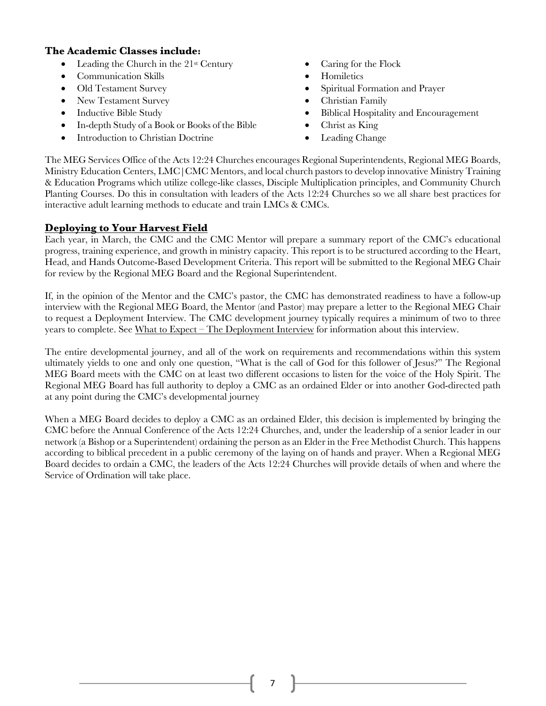### **The Academic Classes include:**

- Leading the Church in the 21st Century
- Communication Skills
- Old Testament Survey
- New Testament Survey
- Inductive Bible Study
- In-depth Study of a Book or Books of the Bible
- Introduction to Christian Doctrine
- Caring for the Flock
- Homiletics
- Spiritual Formation and Prayer
- Christian Family
- Biblical Hospitality and Encouragement
- Christ as King
- Leading Change

The MEG Services Office of the Acts 12:24 Churches encourages Regional Superintendents, Regional MEG Boards, Ministry Education Centers, LMC|CMC Mentors, and local church pastors to develop innovative Ministry Training & Education Programs which utilize college-like classes, Disciple Multiplication principles, and Community Church Planting Courses. Do this in consultation with leaders of the Acts 12:24 Churches so we all share best practices for interactive adult learning methods to educate and train LMCs & CMCs.

#### **Deploying to Your Harvest Field**

Each year, in March, the CMC and the CMC Mentor will prepare a summary report of the CMC's educational progress, training experience, and growth in ministry capacity. This report is to be structured according to the Heart, Head, and Hands Outcome-Based Development Criteria. This report will be submitted to the Regional MEG Chair for review by the Regional MEG Board and the Regional Superintendent.

If, in the opinion of the Mentor and the CMC's pastor, the CMC has demonstrated readiness to have a follow-up interview with the Regional MEG Board, the Mentor (and Pastor) may prepare a letter to the Regional MEG Chair to request a Deployment Interview. The CMC development journey typically requires a minimum of two to three years to complete. See What to Expect – The Deployment Interview for information about this interview.

The entire developmental journey, and all of the work on requirements and recommendations within this system ultimately yields to one and only one question, "What is the call of God for this follower of Jesus?" The Regional MEG Board meets with the CMC on at least two different occasions to listen for the voice of the Holy Spirit. The Regional MEG Board has full authority to deploy a CMC as an ordained Elder or into another God-directed path at any point during the CMC's developmental journey

When a MEG Board decides to deploy a CMC as an ordained Elder, this decision is implemented by bringing the CMC before the Annual Conference of the Acts 12:24 Churches, and, under the leadership of a senior leader in our network (a Bishop or a Superintendent) ordaining the person as an Elder in the Free Methodist Church. This happens according to biblical precedent in a public ceremony of the laying on of hands and prayer. When a Regional MEG Board decides to ordain a CMC, the leaders of the Acts 12:24 Churches will provide details of when and where the Service of Ordination will take place.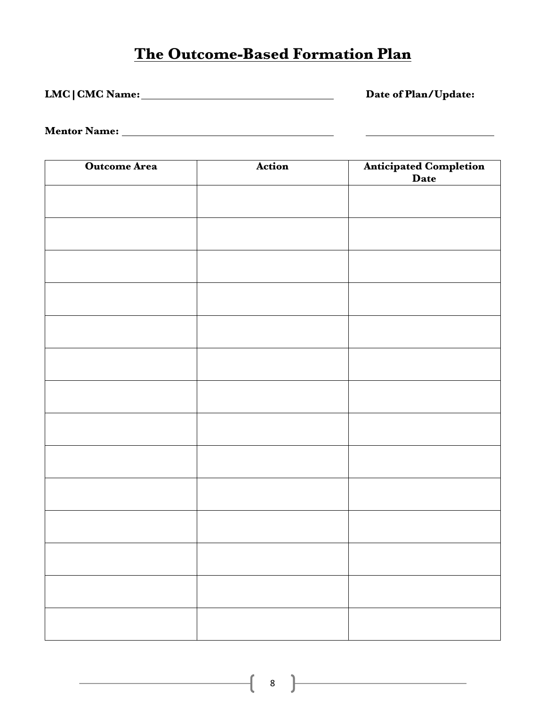## **The Outcome-Based Formation Plan**

**LMC|CMC Name: Date of Plan/Update:**

 $\sim$ 

**Mentor Name:**

| <b>Outcome Area</b> | Action | <b>Anticipated Completion</b><br>Date |
|---------------------|--------|---------------------------------------|
|                     |        |                                       |
|                     |        |                                       |
|                     |        |                                       |
|                     |        |                                       |
|                     |        |                                       |
|                     |        |                                       |
|                     |        |                                       |
|                     |        |                                       |
|                     |        |                                       |
|                     |        |                                       |
|                     |        |                                       |
|                     |        |                                       |
|                     |        |                                       |
|                     |        |                                       |
|                     |        |                                       |

 $\{ \begin{array}{c} 8 \end{array} \}$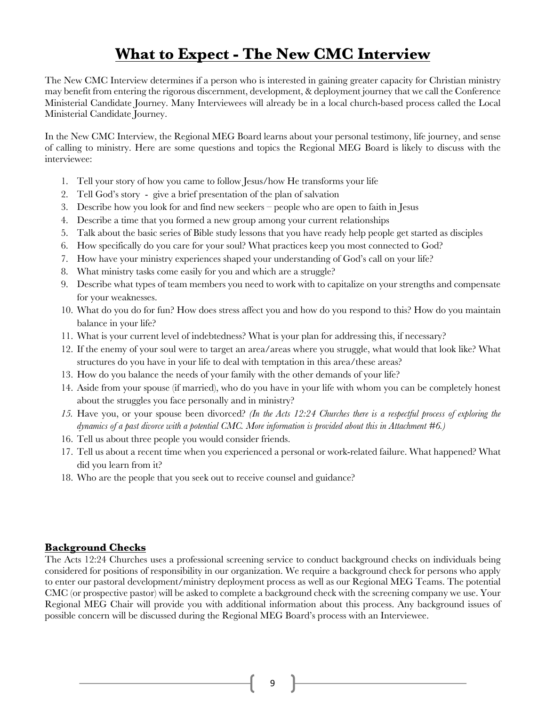### **What to Expect - The New CMC Interview**

The New CMC Interview determines if a person who is interested in gaining greater capacity for Christian ministry may benefit from entering the rigorous discernment, development, & deployment journey that we call the Conference Ministerial Candidate Journey. Many Interviewees will already be in a local church-based process called the Local Ministerial Candidate Journey.

In the New CMC Interview, the Regional MEG Board learns about your personal testimony, life journey, and sense of calling to ministry. Here are some questions and topics the Regional MEG Board is likely to discuss with the interviewee:

- 1. Tell your story of how you came to follow Jesus/how He transforms your life
- 2. Tell God's story give a brief presentation of the plan of salvation
- 3. Describe how you look for and find new seekers people who are open to faith in Jesus
- 4. Describe a time that you formed a new group among your current relationships
- 5. Talk about the basic series of Bible study lessons that you have ready help people get started as disciples
- 6. How specifically do you care for your soul? What practices keep you most connected to God?
- 7. How have your ministry experiences shaped your understanding of God's call on your life?
- 8. What ministry tasks come easily for you and which are a struggle?
- 9. Describe what types of team members you need to work with to capitalize on your strengths and compensate for your weaknesses.
- 10. What do you do for fun? How does stress affect you and how do you respond to this? How do you maintain balance in your life?
- 11. What is your current level of indebtedness? What is your plan for addressing this, if necessary?
- 12. If the enemy of your soul were to target an area/areas where you struggle, what would that look like? What structures do you have in your life to deal with temptation in this area/these areas?
- 13. How do you balance the needs of your family with the other demands of your life?
- 14. Aside from your spouse (if married), who do you have in your life with whom you can be completely honest about the struggles you face personally and in ministry?
- *15.* Have you, or your spouse been divorced? *(In the Acts 12:24 Churches there is a respectful process of exploring the dynamics of a past divorce with a potential CMC. More information is provided about this in Attachment #6.)*
- 16. Tell us about three people you would consider friends.
- 17. Tell us about a recent time when you experienced a personal or work-related failure. What happened? What did you learn from it?
- 18. Who are the people that you seek out to receive counsel and guidance?

#### **Background Checks**

The Acts 12:24 Churches uses a professional screening service to conduct background checks on individuals being considered for positions of responsibility in our organization. We require a background check for persons who apply to enter our pastoral development/ministry deployment process as well as our Regional MEG Teams. The potential CMC (or prospective pastor) will be asked to complete a background check with the screening company we use. Your Regional MEG Chair will provide you with additional information about this process. Any background issues of possible concern will be discussed during the Regional MEG Board's process with an Interviewee.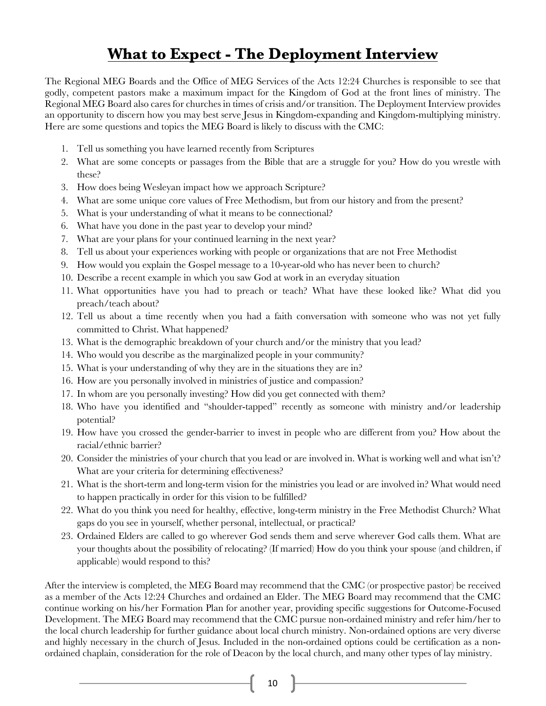### **What to Expect - The Deployment Interview**

The Regional MEG Boards and the Office of MEG Services of the Acts 12:24 Churches is responsible to see that godly, competent pastors make a maximum impact for the Kingdom of God at the front lines of ministry. The Regional MEG Board also cares for churches in times of crisis and/or transition. The Deployment Interview provides an opportunity to discern how you may best serve Jesus in Kingdom-expanding and Kingdom-multiplying ministry. Here are some questions and topics the MEG Board is likely to discuss with the CMC:

- 1. Tell us something you have learned recently from Scriptures
- 2. What are some concepts or passages from the Bible that are a struggle for you? How do you wrestle with these?
- 3. How does being Wesleyan impact how we approach Scripture?
- 4. What are some unique core values of Free Methodism, but from our history and from the present?
- 5. What is your understanding of what it means to be connectional?
- 6. What have you done in the past year to develop your mind?
- 7. What are your plans for your continued learning in the next year?
- 8. Tell us about your experiences working with people or organizations that are not Free Methodist
- 9. How would you explain the Gospel message to a 10-year-old who has never been to church?
- 10. Describe a recent example in which you saw God at work in an everyday situation
- 11. What opportunities have you had to preach or teach? What have these looked like? What did you preach/teach about?
- 12. Tell us about a time recently when you had a faith conversation with someone who was not yet fully committed to Christ. What happened?
- 13. What is the demographic breakdown of your church and/or the ministry that you lead?
- 14. Who would you describe as the marginalized people in your community?
- 15. What is your understanding of why they are in the situations they are in?
- 16. How are you personally involved in ministries of justice and compassion?
- 17. In whom are you personally investing? How did you get connected with them?
- 18. Who have you identified and "shoulder-tapped" recently as someone with ministry and/or leadership potential?
- 19. How have you crossed the gender-barrier to invest in people who are different from you? How about the racial/ethnic barrier?
- 20. Consider the ministries of your church that you lead or are involved in. What is working well and what isn't? What are your criteria for determining effectiveness?
- 21. What is the short-term and long-term vision for the ministries you lead or are involved in? What would need to happen practically in order for this vision to be fulfilled?
- 22. What do you think you need for healthy, effective, long-term ministry in the Free Methodist Church? What gaps do you see in yourself, whether personal, intellectual, or practical?
- 23. Ordained Elders are called to go wherever God sends them and serve wherever God calls them. What are your thoughts about the possibility of relocating? (If married) How do you think your spouse (and children, if applicable) would respond to this?

After the interview is completed, the MEG Board may recommend that the CMC (or prospective pastor) be received as a member of the Acts 12:24 Churches and ordained an Elder. The MEG Board may recommend that the CMC continue working on his/her Formation Plan for another year, providing specific suggestions for Outcome-Focused Development. The MEG Board may recommend that the CMC pursue non-ordained ministry and refer him/her to the local church leadership for further guidance about local church ministry. Non-ordained options are very diverse and highly necessary in the church of Jesus. Included in the non-ordained options could be certification as a nonordained chaplain, consideration for the role of Deacon by the local church, and many other types of lay ministry.